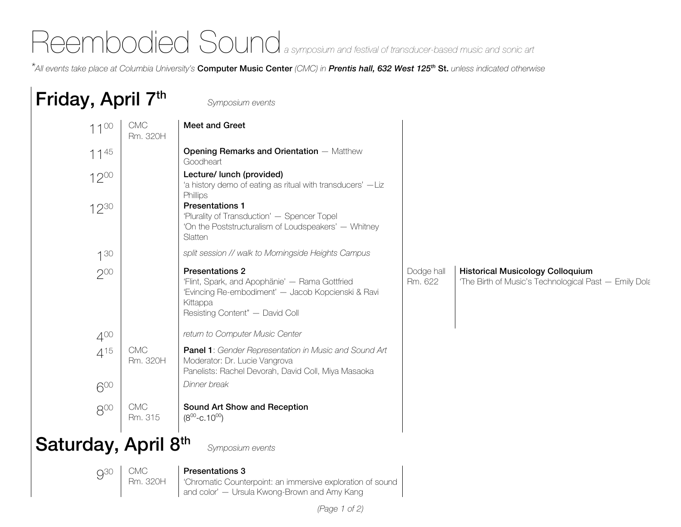## Reembodied Sound<sub>a symposium and festival of transducer-based music and sonic art</sub>

*\*All events take place at Columbia University's* Computer Music Center *(CMC) in Prentis hall, 632 West 125th* St. *unless indicated otherwise*

## Friday, April 7th *Symposium events*  1100 CMC Rm. 320H Meet and Greet  $11^{45}$  **Opening Remarks and Orientation** — Matthew **Goodheart** 1200 | Lecture/ lunch (provided) 'a history demo of eating as ritual with transducers' —Liz **Phillips** 1230 **Presentations 1** 'Plurality of Transduction' — Spencer Topel 'On the Poststructuralism of Loudspeakers' — Whitney **Slatten** 130 *split session // walk to Morningside Heights Campus* 2<sup>00</sup> Presentations 2 'Flint, Spark, and Apophänie' — Rama Gottfried 'Evincing Re-embodiment' — Jacob Kopcienski & Ravi Kittappa Resisting Content" — David Coll Dodge hall Rm. 622 Historical Musicology Colloquium 'The Birth of Music's Technological Past — Emily Dolan 400 *return to Computer Music Center*  $115$  CMC Rm. 320H Panel 1: *Gender Representation in Music and Sound Art*  Moderator: Dr. Lucie Vangrova Panelists: Rachel Devorah, David Coll, Miya Masaoka 600 *Dinner break* 800 CMC Rm. 315 Sound Art Show and Reception  $(8^{00} - C.10^{00})$ Saturday, April 8th *Symposium events* 930 CMC Rm. 320H Presentations 3 'Chromatic Counterpoint: an immersive exploration of sound and color' — Ursula Kwong-Brown and Amy Kang